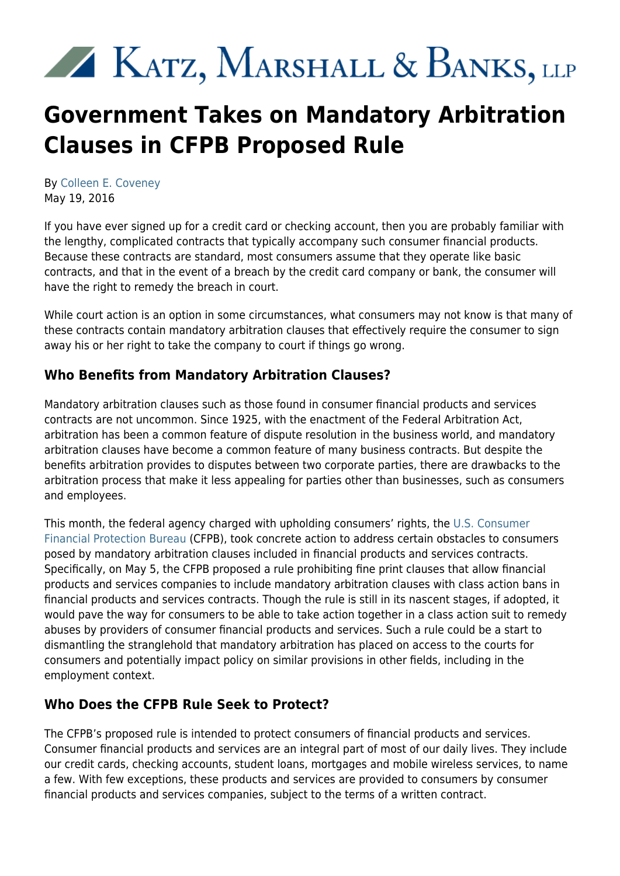# KATZ, MARSHALL & BANKS, LLP

## **Government Takes on Mandatory Arbitration Clauses in CFPB Proposed Rule**

By [Colleen E. Coveney](https://www.kmblegal.com/attorneys-and-staff/colleen-coveney) May 19, 2016

If you have ever signed up for a credit card or checking account, then you are probably familiar with the lengthy, complicated contracts that typically accompany such consumer financial products. Because these contracts are standard, most consumers assume that they operate like basic contracts, and that in the event of a breach by the credit card company or bank, the consumer will have the right to remedy the breach in court.

While court action is an option in some circumstances, what consumers may not know is that many of these contracts contain mandatory arbitration clauses that effectively require the consumer to sign away his or her right to take the company to court if things go wrong.

#### **Who Benefits from Mandatory Arbitration Clauses?**

Mandatory arbitration clauses such as those found in consumer financial products and services contracts are not uncommon. Since 1925, with the enactment of the Federal Arbitration Act, arbitration has been a common feature of dispute resolution in the business world, and mandatory arbitration clauses have become a common feature of many business contracts. But despite the benefits arbitration provides to disputes between two corporate parties, there are drawbacks to the arbitration process that make it less appealing for parties other than businesses, such as consumers and employees.

This month, the federal agency charged with upholding consumers' rights, the [U.S. Consumer](http://www.consumerfinance.gov/) [Financial Protection Bureau](http://www.consumerfinance.gov/) (CFPB), took concrete action to address certain obstacles to consumers posed by mandatory arbitration clauses included in financial products and services contracts. Specifically, on May 5, the CFPB proposed a rule prohibiting fine print clauses that allow financial products and services companies to include mandatory arbitration clauses with class action bans in financial products and services contracts. Though the rule is still in its nascent stages, if adopted, it would pave the way for consumers to be able to take action together in a class action suit to remedy abuses by providers of consumer financial products and services. Such a rule could be a start to dismantling the stranglehold that mandatory arbitration has placed on access to the courts for consumers and potentially impact policy on similar provisions in other fields, including in the employment context.

#### **Who Does the CFPB Rule Seek to Protect?**

The CFPB's proposed rule is intended to protect consumers of financial products and services. Consumer financial products and services are an integral part of most of our daily lives. They include our credit cards, checking accounts, student loans, mortgages and mobile wireless services, to name a few. With few exceptions, these products and services are provided to consumers by consumer financial products and services companies, subject to the terms of a written contract.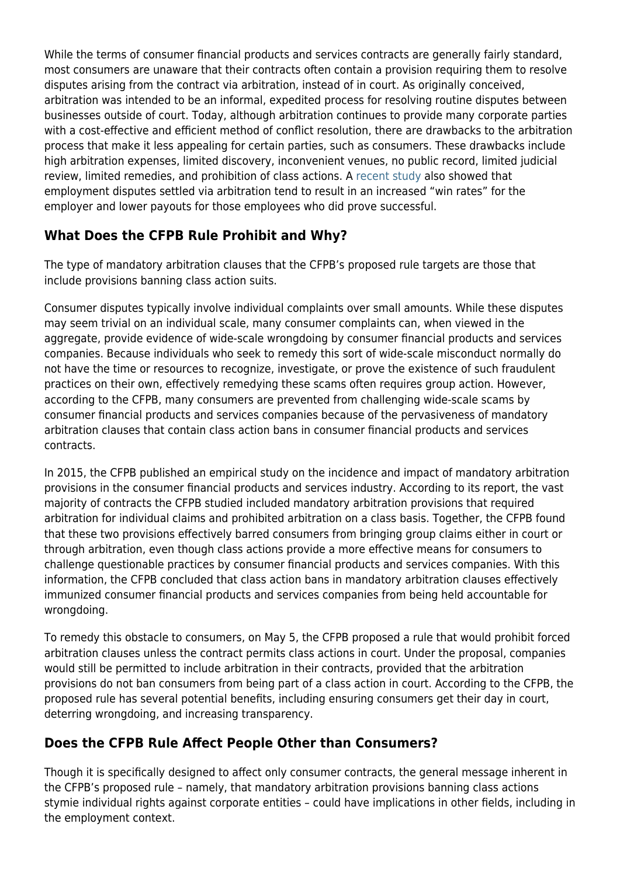While the terms of consumer financial products and services contracts are generally fairly standard, most consumers are unaware that their contracts often contain a provision requiring them to resolve disputes arising from the contract via arbitration, instead of in court. As originally conceived, arbitration was intended to be an informal, expedited process for resolving routine disputes between businesses outside of court. Today, although arbitration continues to provide many corporate parties with a cost-effective and efficient method of conflict resolution, there are drawbacks to the arbitration process that make it less appealing for certain parties, such as consumers. These drawbacks include high arbitration expenses, limited discovery, inconvenient venues, no public record, limited judicial review, limited remedies, and prohibition of class actions. A [recent study](http://www.kmblegal.com/whistleblower-blog/are-air21-whistleblowers-subject-mandatory-arbitration-agreements) also showed that employment disputes settled via arbitration tend to result in an increased "win rates" for the employer and lower payouts for those employees who did prove successful.

### **What Does the CFPB Rule Prohibit and Why?**

The type of mandatory arbitration clauses that the CFPB's proposed rule targets are those that include provisions banning class action suits.

Consumer disputes typically involve individual complaints over small amounts. While these disputes may seem trivial on an individual scale, many consumer complaints can, when viewed in the aggregate, provide evidence of wide-scale wrongdoing by consumer financial products and services companies. Because individuals who seek to remedy this sort of wide-scale misconduct normally do not have the time or resources to recognize, investigate, or prove the existence of such fraudulent practices on their own, effectively remedying these scams often requires group action. However, according to the CFPB, many consumers are prevented from challenging wide-scale scams by consumer financial products and services companies because of the pervasiveness of mandatory arbitration clauses that contain class action bans in consumer financial products and services contracts.

In 2015, the CFPB published an empirical study on the incidence and impact of mandatory arbitration provisions in the consumer financial products and services industry. According to its report, the vast majority of contracts the CFPB studied included mandatory arbitration provisions that required arbitration for individual claims and prohibited arbitration on a class basis. Together, the CFPB found that these two provisions effectively barred consumers from bringing group claims either in court or through arbitration, even though class actions provide a more effective means for consumers to challenge questionable practices by consumer financial products and services companies. With this information, the CFPB concluded that class action bans in mandatory arbitration clauses effectively immunized consumer financial products and services companies from being held accountable for wrongdoing.

To remedy this obstacle to consumers, on May 5, the CFPB proposed a rule that would prohibit forced arbitration clauses unless the contract permits class actions in court. Under the proposal, companies would still be permitted to include arbitration in their contracts, provided that the arbitration provisions do not ban consumers from being part of a class action in court. According to the CFPB, the proposed rule has several potential benefits, including ensuring consumers get their day in court, deterring wrongdoing, and increasing transparency.

#### **Does the CFPB Rule Affect People Other than Consumers?**

Though it is specifically designed to affect only consumer contracts, the general message inherent in the CFPB's proposed rule – namely, that mandatory arbitration provisions banning class actions stymie individual rights against corporate entities – could have implications in other fields, including in the employment context.